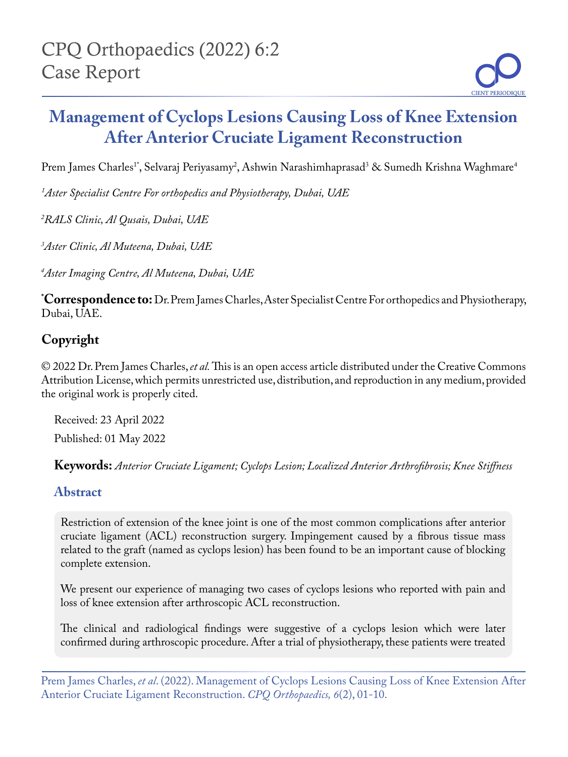# **Management of Cyclops Lesions Causing Loss of Knee Extension After Anterior Cruciate Ligament Reconstruction**

Prem James Charles<sup>1</sup>\*, Selvaraj Periyasamy<sup>2</sup>, Ashwin Narashimhaprasad<sup>3</sup> & Sumedh Krishna Waghmare<sup>4</sup>

*1 Aster Specialist Centre For orthopedics and Physiotherapy, Dubai, UAE* 

*2 RALS Clinic, Al Qusais, Dubai, UAE*

*3 Aster Clinic, Al Muteena, Dubai, UAE*

*4 Aster Imaging Centre, Al Muteena, Dubai, UAE*

**\* Correspondence to:** Dr. Prem James Charles, Aster Specialist Centre For orthopedics and Physiotherapy, Dubai, UAE.

# **Copyright**

© 2022 Dr. Prem James Charles, *et al.* This is an open access article distributed under the Creative Commons Attribution License, which permits unrestricted use, distribution, and reproduction in any medium, provided the original work is properly cited.

Received: 23 April 2022 Published: 01 May 2022

**Keywords:** *Anterior Cruciate Ligament; Cyclops Lesion; Localized Anterior Arthrofibrosis; Knee Stiffness*

## **Abstract**

Restriction of extension of the knee joint is one of the most common complications after anterior cruciate ligament (ACL) reconstruction surgery. Impingement caused by a fibrous tissue mass related to the graft (named as cyclops lesion) has been found to be an important cause of blocking complete extension.

We present our experience of managing two cases of cyclops lesions who reported with pain and loss of knee extension after arthroscopic ACL reconstruction.

The clinical and radiological findings were suggestive of a cyclops lesion which were later confirmed during arthroscopic procedure. After a trial of physiotherapy, these patients were treated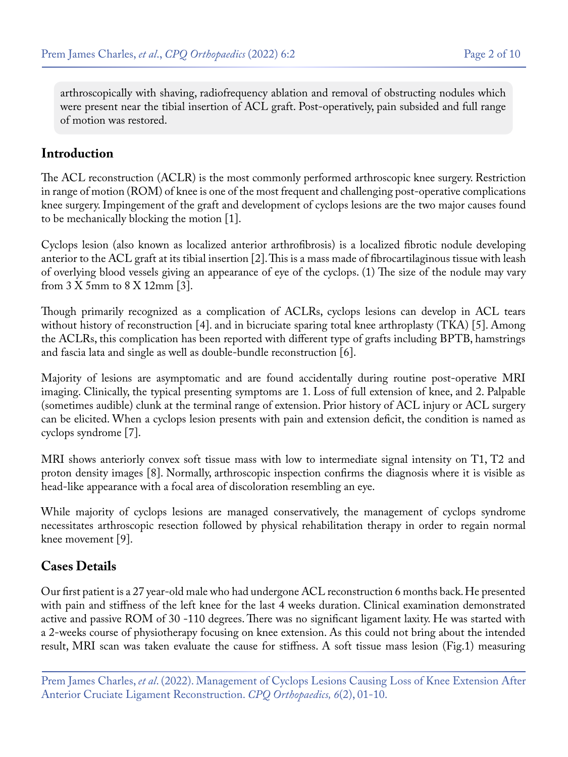arthroscopically with shaving, radiofrequency ablation and removal of obstructing nodules which were present near the tibial insertion of ACL graft. Post-operatively, pain subsided and full range of motion was restored.

#### **Introduction**

The ACL reconstruction (ACLR) is the most commonly performed arthroscopic knee surgery. Restriction in range of motion (ROM) of knee is one of the most frequent and challenging post-operative complications knee surgery. Impingement of the graft and development of cyclops lesions are the two major causes found to be mechanically blocking the motion [1].

Cyclops lesion (also known as localized anterior arthrofibrosis) is a localized fibrotic nodule developing anterior to the ACL graft at its tibial insertion [2]. This is a mass made of fibrocartilaginous tissue with leash of overlying blood vessels giving an appearance of eye of the cyclops. (1) The size of the nodule may vary from 3 X 5mm to 8 X 12mm [3].

Though primarily recognized as a complication of ACLRs, cyclops lesions can develop in ACL tears without history of reconstruction [4]. and in bicruciate sparing total knee arthroplasty (TKA) [5]. Among the ACLRs, this complication has been reported with different type of grafts including BPTB, hamstrings and fascia lata and single as well as double-bundle reconstruction [6].

Majority of lesions are asymptomatic and are found accidentally during routine post-operative MRI imaging. Clinically, the typical presenting symptoms are 1. Loss of full extension of knee, and 2. Palpable (sometimes audible) clunk at the terminal range of extension. Prior history of ACL injury or ACL surgery can be elicited. When a cyclops lesion presents with pain and extension deficit, the condition is named as cyclops syndrome [7].

MRI shows anteriorly convex soft tissue mass with low to intermediate signal intensity on T1, T2 and proton density images [8]. Normally, arthroscopic inspection confirms the diagnosis where it is visible as head-like appearance with a focal area of discoloration resembling an eye.

While majority of cyclops lesions are managed conservatively, the management of cyclops syndrome necessitates arthroscopic resection followed by physical rehabilitation therapy in order to regain normal knee movement [9].

#### **Cases Details**

Our first patient is a 27 year-old male who had undergone ACL reconstruction 6 months back. He presented with pain and stiffness of the left knee for the last 4 weeks duration. Clinical examination demonstrated active and passive ROM of 30 -110 degrees. There was no significant ligament laxity. He was started with a 2-weeks course of physiotherapy focusing on knee extension. As this could not bring about the intended result, MRI scan was taken evaluate the cause for stiffness. A soft tissue mass lesion (Fig.1) measuring

Prem James Charles, *et al*. (2022). Management of Cyclops Lesions Causing Loss of Knee Extension After Anterior Cruciate Ligament Reconstruction. *CPQ Orthopaedics, 6*(2), 01-10.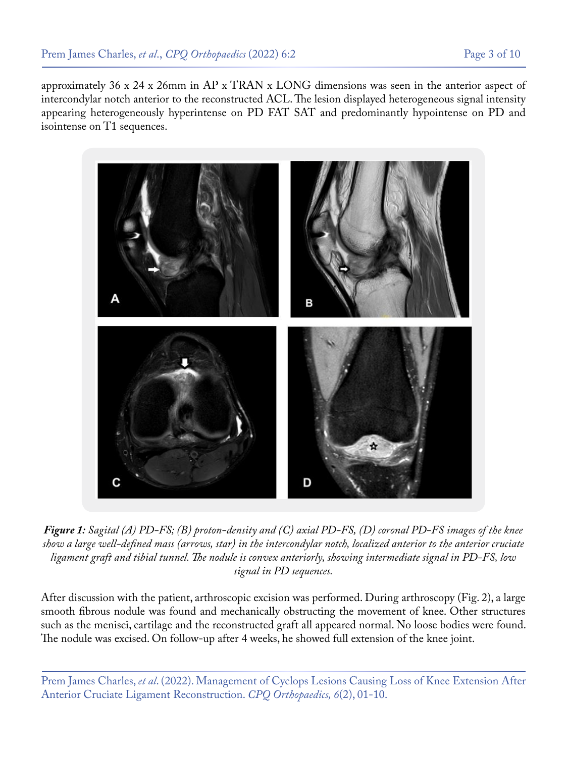approximately 36 x 24 x 26mm in AP x TRAN x LONG dimensions was seen in the anterior aspect of intercondylar notch anterior to the reconstructed ACL. The lesion displayed heterogeneous signal intensity appearing heterogeneously hyperintense on PD FAT SAT and predominantly hypointense on PD and isointense on T1 sequences.



*Figure 1: Sagital (A) PD-FS; (B) proton-density and (C) axial PD-FS, (D) coronal PD-FS images of the knee show a large well-defined mass (arrows, star) in the intercondylar notch, localized anterior to the anterior cruciate ligament graft and tibial tunnel. The nodule is convex anteriorly, showing intermediate signal in PD-FS, low signal in PD sequences.*

After discussion with the patient, arthroscopic excision was performed. During arthroscopy (Fig. 2), a large smooth fibrous nodule was found and mechanically obstructing the movement of knee. Other structures such as the menisci, cartilage and the reconstructed graft all appeared normal. No loose bodies were found. The nodule was excised. On follow-up after 4 weeks, he showed full extension of the knee joint.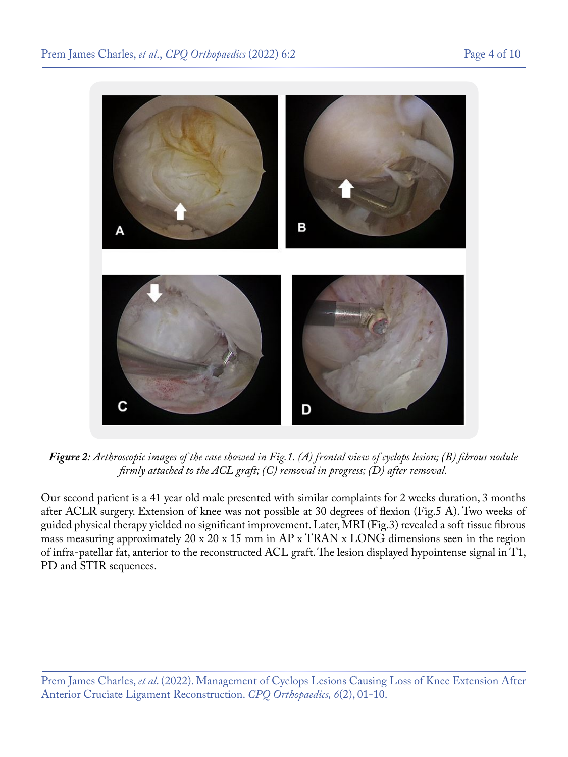

*Figure 2: Arthroscopic images of the case showed in Fig.1. (A) frontal view of cyclops lesion; (B) fibrous nodule firmly attached to the ACL graft; (C) removal in progress; (D) after removal.*

Our second patient is a 41 year old male presented with similar complaints for 2 weeks duration, 3 months after ACLR surgery. Extension of knee was not possible at 30 degrees of flexion (Fig.5 A). Two weeks of guided physical therapy yielded no significant improvement. Later, MRI (Fig.3) revealed a soft tissue fibrous mass measuring approximately 20 x 20 x 15 mm in AP x TRAN x LONG dimensions seen in the region of infra-patellar fat, anterior to the reconstructed ACL graft. The lesion displayed hypointense signal in T1, PD and STIR sequences.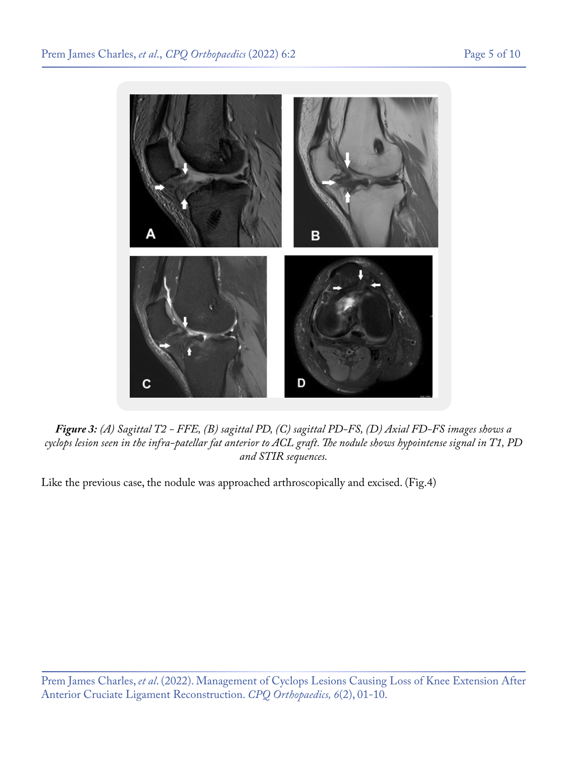

*Figure 3: (A) Sagittal T2 - FFE, (B) sagittal PD, (C) sagittal PD-FS, (D) Axial FD-FS images shows a cyclops lesion seen in the infra-patellar fat anterior to ACL graft. The nodule shows hypointense signal in T1, PD and STIR sequences.*

Like the previous case, the nodule was approached arthroscopically and excised. (Fig.4)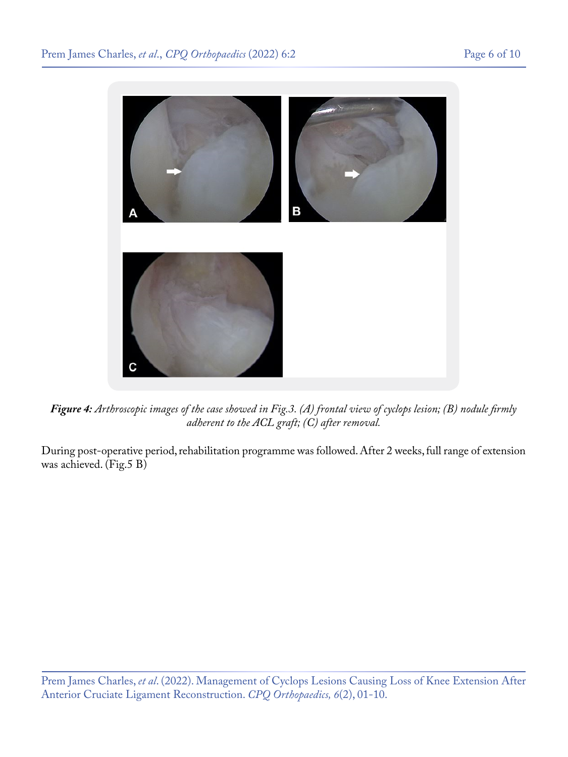

*Figure 4: Arthroscopic images of the case showed in Fig.3. (A) frontal view of cyclops lesion; (B) nodule firmly adherent to the ACL graft; (C) after removal.*

During post-operative period, rehabilitation programme was followed. After 2 weeks, full range of extension was achieved. (Fig.5 B)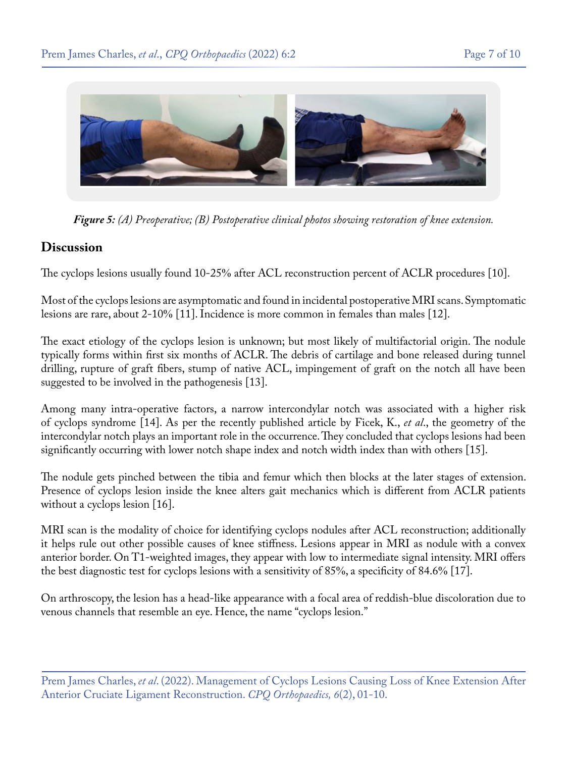

*Figure 5: (A) Preoperative; (B) Postoperative clinical photos showing restoration of knee extension.*

#### **Discussion**

The cyclops lesions usually found 10-25% after ACL reconstruction percent of ACLR procedures [10].

Most of the cyclops lesions are asymptomatic and found in incidental postoperative MRI scans. Symptomatic lesions are rare, about 2-10% [11]. Incidence is more common in females than males [12].

The exact etiology of the cyclops lesion is unknown; but most likely of multifactorial origin. The nodule typically forms within first six months of ACLR. The debris of cartilage and bone released during tunnel drilling, rupture of graft fibers, stump of native ACL, impingement of graft on the notch all have been suggested to be involved in the pathogenesis [13].

Among many intra-operative factors, a narrow intercondylar notch was associated with a higher risk of cyclops syndrome [14]. As per the recently published article by Ficek, K., *et al*., the geometry of the intercondylar notch plays an important role in the occurrence. They concluded that cyclops lesions had been significantly occurring with lower notch shape index and notch width index than with others [15].

The nodule gets pinched between the tibia and femur which then blocks at the later stages of extension. Presence of cyclops lesion inside the knee alters gait mechanics which is different from ACLR patients without a cyclops lesion [16].

MRI scan is the modality of choice for identifying cyclops nodules after ACL reconstruction; additionally it helps rule out other possible causes of knee stiffness. Lesions appear in MRI as nodule with a convex anterior border. On T1-weighted images, they appear with low to intermediate signal intensity. MRI offers the best diagnostic test for cyclops lesions with a sensitivity of 85%, a specificity of 84.6% [17].

On arthroscopy, the lesion has a head-like appearance with a focal area of reddish-blue discoloration due to venous channels that resemble an eye. Hence, the name "cyclops lesion."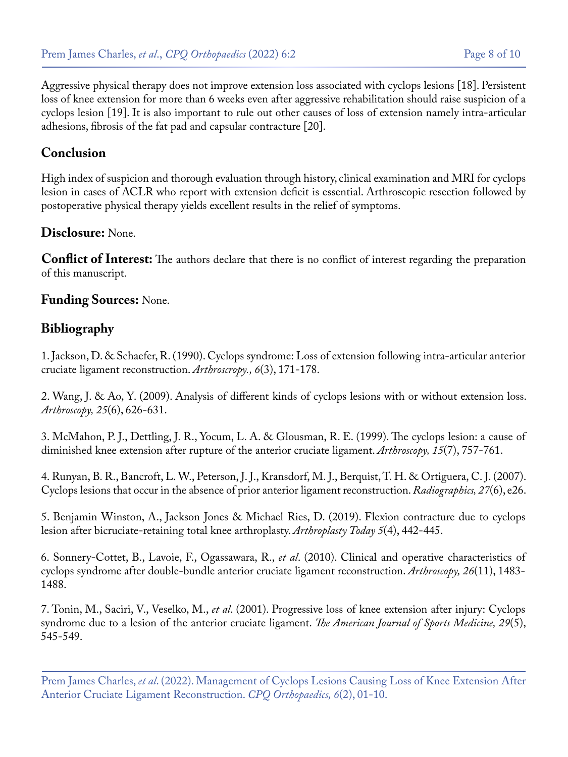Aggressive physical therapy does not improve extension loss associated with cyclops lesions [18]. Persistent loss of knee extension for more than 6 weeks even after aggressive rehabilitation should raise suspicion of a cyclops lesion [19]. It is also important to rule out other causes of loss of extension namely intra-articular adhesions, fibrosis of the fat pad and capsular contracture [20].

#### **Conclusion**

High index of suspicion and thorough evaluation through history, clinical examination and MRI for cyclops lesion in cases of ACLR who report with extension deficit is essential. Arthroscopic resection followed by postoperative physical therapy yields excellent results in the relief of symptoms.

#### **Disclosure:** None.

**Conflict of Interest:** The authors declare that there is no conflict of interest regarding the preparation of this manuscript.

#### **Funding Sources:** None.

## **Bibliography**

1. [Jackson, D. & Schaefer, R. \(1990\). Cyclops syndrome: Loss of extension following intra-articular anterior](https://pubmed.ncbi.nlm.nih.gov/2206179/) [cruciate ligament reconstruction.](https://pubmed.ncbi.nlm.nih.gov/2206179/) *Arthroscropy., 6*(3), 171-178.

2. [Wang, J. & Ao, Y. \(2009\). Analysis of different kinds of cyclops lesions with or without extension loss.](https://pubmed.ncbi.nlm.nih.gov/19501293/)  *[Arthroscopy, 25](https://pubmed.ncbi.nlm.nih.gov/19501293/)*(6), 626-631.

3. [McMahon, P. J., Dettling, J. R., Yocum, L. A. & Glousman, R. E. \(1999\). The cyclops lesion: a cause of](https://pubmed.ncbi.nlm.nih.gov/10524824/) [diminished knee extension after rupture of the anterior cruciate ligament.](https://pubmed.ncbi.nlm.nih.gov/10524824/) *Arthroscopy, 15*(7), 757-761.

4. [Runyan, B. R., Bancroft, L. W., Peterson, J. J., Kransdorf, M. J., Berquist, T. H. & Ortiguera, C. J. \(2007\).](https://pubmed.ncbi.nlm.nih.gov/17712103/) [Cyclops lesions that occur in the absence of prior anterior ligament reconstruction.](https://pubmed.ncbi.nlm.nih.gov/17712103/) *Radiographics, 27*(6), e26.

5. [Benjamin Winston, A., Jackson Jones & Michael Ries, D. \(2019\). Flexion contracture due to cyclops](https://pubmed.ncbi.nlm.nih.gov/31886387/) [lesion after bicruciate-retaining total knee arthroplasty.](https://pubmed.ncbi.nlm.nih.gov/31886387/) *Arthroplasty Today 5*(4), 442-445.

6. Sonnery-Cottet, B., Lavoie, F., Ogassawara, R., *et al*[. \(2010\). Clinical and operative characteristics of](https://pubmed.ncbi.nlm.nih.gov/20875722/)  [cyclops syndrome after double-bundle anterior cruciate ligament reconstruction.](https://pubmed.ncbi.nlm.nih.gov/20875722/) *Arthroscopy, 26*(11), 1483- [1488.](https://pubmed.ncbi.nlm.nih.gov/20875722/)

7. Tonin, M., Saciri, V., Veselko, M., *et al*[. \(2001\). Progressive loss of knee extension after injury: Cyclops](https://pubmed.ncbi.nlm.nih.gov/11573910/)  [syndrome due to a lesion of the anterior cruciate ligament.](https://pubmed.ncbi.nlm.nih.gov/11573910/) *The American Journal of Sports Medicine, 29*(5), [545-549.](https://pubmed.ncbi.nlm.nih.gov/11573910/)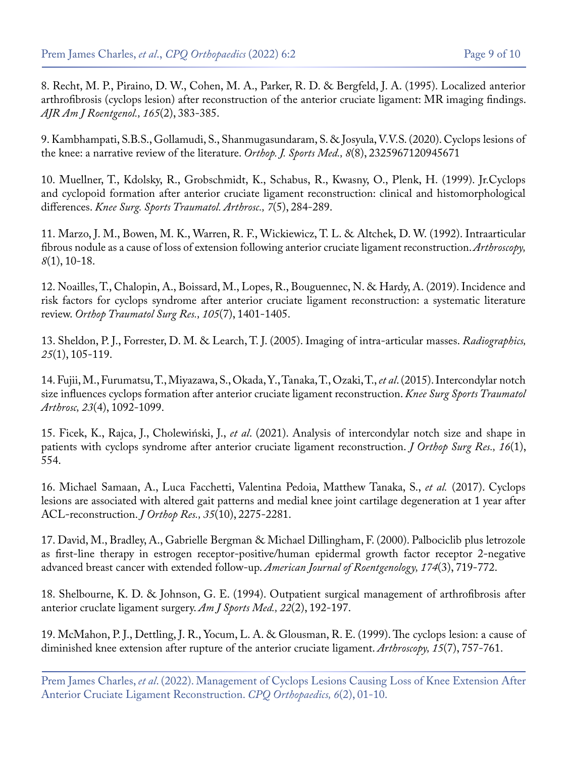8. [Recht, M. P., Piraino, D. W., Cohen, M. A., Parker, R. D. & Bergfeld, J. A. \(1995\). Localized anterior](https://pubmed.ncbi.nlm.nih.gov/7618562/)  [arthrofibrosis \(cyclops lesion\) after reconstruction of the anterior cruciate ligament: MR imaging findings.](https://pubmed.ncbi.nlm.nih.gov/7618562/) *[AJR Am J Roentgenol., 165](https://pubmed.ncbi.nlm.nih.gov/7618562/)*(2), 383-385.

9. [Kambhampati, S.B.S., Gollamudi, S., Shanmugasundaram, S. & Josyula, V.V.S. \(2020\). Cyclops lesions of](https://pubmed.ncbi.nlm.nih.gov/32923503/) [the knee: a narrative review of the literature.](https://pubmed.ncbi.nlm.nih.gov/32923503/) *Orthop. J. Sports Med., 8*(8), 2325967120945671

10. [Muellner, T., Kdolsky, R., Grobschmidt, K., Schabus, R., Kwasny, O., Plenk, H. \(1999\). Jr.Cyclops](https://pubmed.ncbi.nlm.nih.gov/10525697/) [and cyclopoid formation after anterior cruciate ligament reconstruction: clinical and histomorphological](https://pubmed.ncbi.nlm.nih.gov/10525697/) differences. *[Knee Surg. Sports Traumatol. Arthrosc., 7](https://pubmed.ncbi.nlm.nih.gov/10525697/)*(5), 284-289.

11. [Marzo, J. M., Bowen, M. K., Warren, R. F., Wickiewicz, T. L. & Altchek, D. W. \(1992\). Intraarticular](https://pubmed.ncbi.nlm.nih.gov/1550639/) [fibrous nodule as a cause of loss of extension following anterior cruciate ligament reconstruction.](https://pubmed.ncbi.nlm.nih.gov/1550639/) *Arthroscopy, 8*[\(1\), 10-18.](https://pubmed.ncbi.nlm.nih.gov/1550639/)

12. [Noailles, T., Chalopin, A., Boissard, M., Lopes, R., Bouguennec, N. & Hardy, A. \(2019\). Incidence and](https://pubmed.ncbi.nlm.nih.gov/31405748/) [risk factors for cyclops syndrome after anterior cruciate ligament reconstruction: a systematic literature](https://pubmed.ncbi.nlm.nih.gov/31405748/) review. *[Orthop Traumatol Surg Res., 105](https://pubmed.ncbi.nlm.nih.gov/31405748/)*(7), 1401-1405.

13. [Sheldon, P. J., Forrester, D. M. & Learch, T. J. \(2005\). Imaging of intra-articular masses.](https://pubs.rsna.org/doi/pdf/10.1148/rg.251045050) *Radiographics, 25*[\(1\), 105-119.](https://pubs.rsna.org/doi/pdf/10.1148/rg.251045050)

14. [Fujii, M., Furumatsu, T., Miyazawa, S., Okada, Y., Tanaka, T., Ozaki, T.,](https://pubmed.ncbi.nlm.nih.gov/24549261/) *et al*. (2015). Intercondylar notch [size influences cyclops formation after anterior cruciate ligament reconstruction.](https://pubmed.ncbi.nlm.nih.gov/24549261/) *Knee Surg Sports Traumatol Arthrosc, 23*[\(4\), 1092-1099.](https://pubmed.ncbi.nlm.nih.gov/24549261/)

15. Ficek, K., Rajca, J., Cholewiński, J., *et al*[. \(2021\). Analysis of intercondylar notch size and shape in](https://pubmed.ncbi.nlm.nih.gov/34496898/) [patients with cyclops syndrome after anterior cruciate ligament reconstruction.](https://pubmed.ncbi.nlm.nih.gov/34496898/) *J Orthop Surg Res., 16*(1), [554.](https://pubmed.ncbi.nlm.nih.gov/34496898/)

16. [Michael Samaan, A., Luca Facchetti, Valentina Pedoia, Matthew Tanaka, S.,](https://pubmed.ncbi.nlm.nih.gov/28128475/) *et al.* (2017). Cyclops [lesions are associated with altered gait patterns and medial knee joint cartilage degeneration at 1 year after](https://pubmed.ncbi.nlm.nih.gov/28128475/) [ACL-reconstruction.](https://pubmed.ncbi.nlm.nih.gov/28128475/) *J Orthop Res., 35*(10), 2275-2281.

17. [David, M., Bradley, A., Gabrielle Bergman & Michael Dillingham, F. \(2000\). Palbociclib plus letrozole](https://pubmed.ncbi.nlm.nih.gov/30632023/) [as first-line therapy in estrogen receptor-positive/human epidermal growth factor receptor 2-negative](https://pubmed.ncbi.nlm.nih.gov/30632023/) [advanced breast cancer with extended follow-up.](https://pubmed.ncbi.nlm.nih.gov/30632023/) *American Journal of Roentgenology, 174*(3), 719-772.

18. [Shelbourne, K. D. & Johnson, G. E. \(1994\). Outpatient surgical management of arthrofibrosis after](https://pubmed.ncbi.nlm.nih.gov/8198186/) [anterior cruclate ligament surgery.](https://pubmed.ncbi.nlm.nih.gov/8198186/) *Am J Sports Med., 22*(2), 192-197.

19. [McMahon, P. J., Dettling, J. R., Yocum, L. A. & Glousman, R. E. \(1999\). The cyclops lesion: a cause of](https://pubmed.ncbi.nlm.nih.gov/10524824/) [diminished knee extension after rupture of the anterior cruciate ligament.](https://pubmed.ncbi.nlm.nih.gov/10524824/) *Arthroscopy, 15*(7), 757-761.

Prem James Charles, *et al*. (2022). Management of Cyclops Lesions Causing Loss of Knee Extension After Anterior Cruciate Ligament Reconstruction. *CPQ Orthopaedics, 6*(2), 01-10.